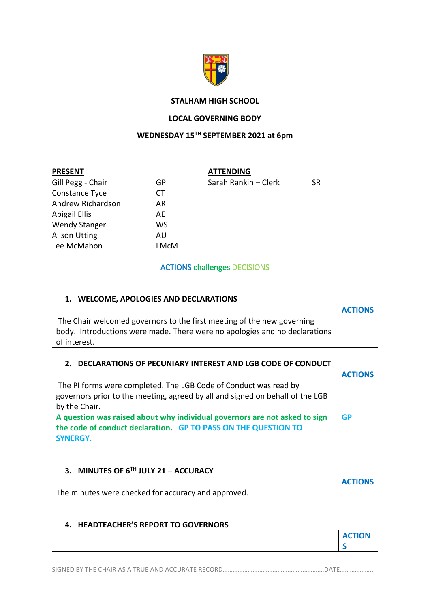

### **STALHAM HIGH SCHOOL**

### **LOCAL GOVERNING BODY**

# **WEDNESDAY 15TH SEPTEMBER 2021 at 6pm**

| <b>PRESENT</b>       |      | <b>ATTENDING</b>     |    |
|----------------------|------|----------------------|----|
| Gill Pegg - Chair    | GP   | Sarah Rankin - Clerk | SR |
| Constance Tyce       | СT   |                      |    |
| Andrew Richardson    | AR   |                      |    |
| Abigail Ellis        | AE   |                      |    |
| <b>Wendy Stanger</b> | WS   |                      |    |
| <b>Alison Utting</b> | AU   |                      |    |
| Lee McMahon          | LMcM |                      |    |
|                      |      |                      |    |

### ACTIONS challenges DECISIONS

### **1. WELCOME, APOLOGIES AND DECLARATIONS**

|                                                                            | <b>ACTIONS</b> |
|----------------------------------------------------------------------------|----------------|
| The Chair welcomed governors to the first meeting of the new governing     |                |
| body. Introductions were made. There were no apologies and no declarations |                |
| of interest.                                                               |                |

### **2. DECLARATIONS OF PECUNIARY INTEREST AND LGB CODE OF CONDUCT**

|                                                                               | <b>ACTIONS</b> |
|-------------------------------------------------------------------------------|----------------|
| The PI forms were completed. The LGB Code of Conduct was read by              |                |
| governors prior to the meeting, agreed by all and signed on behalf of the LGB |                |
| by the Chair.                                                                 |                |
| A question was raised about why individual governors are not asked to sign    | <b>GP</b>      |
| the code of conduct declaration. GP TO PASS ON THE QUESTION TO                |                |
| <b>SYNERGY.</b>                                                               |                |

## **3. MINUTES OF 6 TH JULY 21 – ACCURACY**

|                                                     | <b>ACTIONS</b> |
|-----------------------------------------------------|----------------|
| The minutes were checked for accuracy and approved. |                |

### **4. HEADTEACHER'S REPORT TO GOVERNORS**

SIGNED BY THE CHAIR AS A TRUE AND ACCURATE RECORD…………………………………………………………DATE………………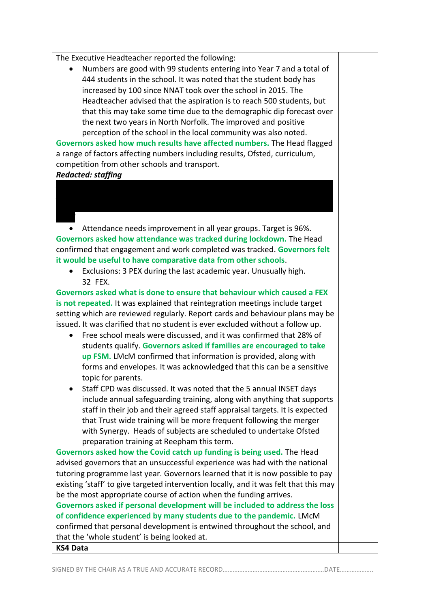The Executive Headteacher reported the following:

• Numbers are good with 99 students entering into Year 7 and a total of 444 students in the school. It was noted that the student body has increased by 100 since NNAT took over the school in 2015. The Headteacher advised that the aspiration is to reach 500 students, but that this may take some time due to the demographic dip forecast over the next two years in North Norfolk. The improved and positive perception of the school in the local community was also noted.

**Governors asked how much results have affected numbers.** The Head flagged a range of factors affecting numbers including results, Ofsted, curriculum, competition from other schools and transport.

### *Redacted: staffing*

• Attendance needs improvement in all year groups. Target is 96%. **Governors asked how attendance was tracked during lockdown.** The Head confirmed that engagement and work completed was tracked. **Governors felt it would be useful to have comparative data from other schools**.

• Exclusions: 3 PEX during the last academic year. Unusually high. 32 FEX.

**Governors asked what is done to ensure that behaviour which caused a FEX is not repeated.** It was explained that reintegration meetings include target setting which are reviewed regularly. Report cards and behaviour plans may be issued. It was clarified that no student is ever excluded without a follow up.

- Free school meals were discussed, and it was confirmed that 28% of students qualify. **Governors asked if families are encouraged to take up FSM.** LMcM confirmed that information is provided, along with forms and envelopes. It was acknowledged that this can be a sensitive topic for parents.
- Staff CPD was discussed. It was noted that the 5 annual INSET days include annual safeguarding training, along with anything that supports staff in their job and their agreed staff appraisal targets. It is expected that Trust wide training will be more frequent following the merger with Synergy. Heads of subjects are scheduled to undertake Ofsted preparation training at Reepham this term.

**Governors asked how the Covid catch up funding is being used.** The Head advised governors that an unsuccessful experience was had with the national tutoring programme last year. Governors learned that it is now possible to pay existing 'staff' to give targeted intervention locally, and it was felt that this may be the most appropriate course of action when the funding arrives. **Governors asked if personal development will be included to address the loss** 

**of confidence experienced by many students due to the pandemic.** LMcM confirmed that personal development is entwined throughout the school, and that the 'whole student' is being looked at.

### **KS4 Data**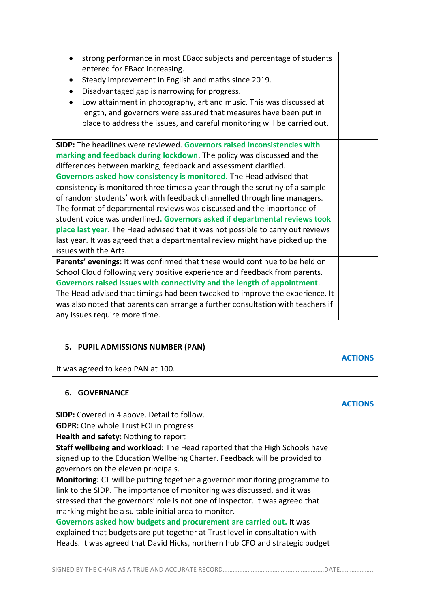| strong performance in most EBacc subjects and percentage of students             |  |
|----------------------------------------------------------------------------------|--|
| entered for EBacc increasing.                                                    |  |
| Steady improvement in English and maths since 2019.<br>$\bullet$                 |  |
| Disadvantaged gap is narrowing for progress.                                     |  |
| Low attainment in photography, art and music. This was discussed at<br>$\bullet$ |  |
| length, and governors were assured that measures have been put in                |  |
| place to address the issues, and careful monitoring will be carried out.         |  |
| SIDP: The headlines were reviewed. Governors raised inconsistencies with         |  |
| marking and feedback during lockdown. The policy was discussed and the           |  |
| differences between marking, feedback and assessment clarified.                  |  |
| Governors asked how consistency is monitored. The Head advised that              |  |
| consistency is monitored three times a year through the scrutiny of a sample     |  |
| of random students' work with feedback channelled through line managers.         |  |
| The format of departmental reviews was discussed and the importance of           |  |
| student voice was underlined. Governors asked if departmental reviews took       |  |
| place last year. The Head advised that it was not possible to carry out reviews  |  |
| last year. It was agreed that a departmental review might have picked up the     |  |
| issues with the Arts.                                                            |  |
| Parents' evenings: It was confirmed that these would continue to be held on      |  |
| School Cloud following very positive experience and feedback from parents.       |  |
| Governors raised issues with connectivity and the length of appointment.         |  |
| The Head advised that timings had been tweaked to improve the experience. It     |  |
| was also noted that parents can arrange a further consultation with teachers if  |  |
|                                                                                  |  |
| any issues require more time.                                                    |  |

# **5. PUPIL ADMISSIONS NUMBER (PAN)**

|                                   | <b>ACTIONS</b> |
|-----------------------------------|----------------|
| It was agreed to keep PAN at 100. |                |

 $\mathbf{r}$ 

h

# **6. GOVERNANCE**

 $\mathbf{r}$ 

| SIDP: Covered in 4 above. Detail to follow.                                       |  |
|-----------------------------------------------------------------------------------|--|
| <b>GDPR:</b> One whole Trust FOI in progress.                                     |  |
| Health and safety: Nothing to report                                              |  |
| Staff wellbeing and workload: The Head reported that the High Schools have        |  |
| signed up to the Education Wellbeing Charter. Feedback will be provided to        |  |
| governors on the eleven principals.                                               |  |
| <b>Monitoring:</b> CT will be putting together a governor monitoring programme to |  |
| link to the SIDP. The importance of monitoring was discussed, and it was          |  |
| stressed that the governors' role is not one of inspector. It was agreed that     |  |
| marking might be a suitable initial area to monitor.                              |  |
| Governors asked how budgets and procurement are carried out. It was               |  |
| explained that budgets are put together at Trust level in consultation with       |  |
| Heads. It was agreed that David Hicks, northern hub CFO and strategic budget      |  |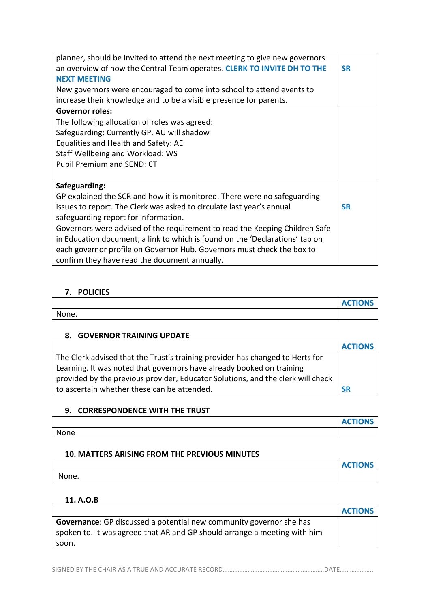| planner, should be invited to attend the next meeting to give new governors  |           |
|------------------------------------------------------------------------------|-----------|
| an overview of how the Central Team operates. CLERK TO INVITE DH TO THE      | <b>SR</b> |
| <b>NEXT MEETING</b>                                                          |           |
| New governors were encouraged to come into school to attend events to        |           |
| increase their knowledge and to be a visible presence for parents.           |           |
| <b>Governor roles:</b>                                                       |           |
| The following allocation of roles was agreed:                                |           |
| Safeguarding: Currently GP. AU will shadow                                   |           |
| Equalities and Health and Safety: AE                                         |           |
| Staff Wellbeing and Workload: WS                                             |           |
| Pupil Premium and SEND: CT                                                   |           |
|                                                                              |           |
| Safeguarding:                                                                |           |
| GP explained the SCR and how it is monitored. There were no safeguarding     |           |
| issues to report. The Clerk was asked to circulate last year's annual        | <b>SR</b> |
| safeguarding report for information.                                         |           |
| Governors were advised of the requirement to read the Keeping Children Safe  |           |
| in Education document, a link to which is found on the 'Declarations' tab on |           |
| each governor profile on Governor Hub. Governors must check the box to       |           |
| confirm they have read the document annually.                                |           |

### **7. POLICIES**

|       | <b>ACTIONS</b> |
|-------|----------------|
| None. |                |

### **8. GOVERNOR TRAINING UPDATE**

|                                                                                 | <b>ACTIONS</b> |
|---------------------------------------------------------------------------------|----------------|
| The Clerk advised that the Trust's training provider has changed to Herts for   |                |
| Learning. It was noted that governors have already booked on training           |                |
| provided by the previous provider, Educator Solutions, and the clerk will check |                |
| to ascertain whether these can be attended.                                     | SR             |

### **9. CORRESPONDENCE WITH THE TRUST**

# None

### **10. MATTERS ARISING FROM THE PREVIOUS MINUTES**

|       | <b>ACTIONS</b> |
|-------|----------------|
| None. |                |

**ACTIONS**

### **11. A.O.B**

|                                                                            | <b>ACTIONS</b> |
|----------------------------------------------------------------------------|----------------|
| <b>Governance:</b> GP discussed a potential new community governor she has |                |
| spoken to. It was agreed that AR and GP should arrange a meeting with him  |                |
| soon.                                                                      |                |